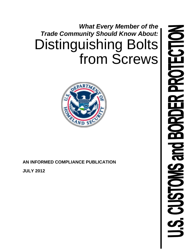# *What Every Member of the Trade Community Should Know About:*  Distinguishing Bolts from Screws



**AN INFORMED COMPLIANCE PUBLICATION** 

**JULY 2012**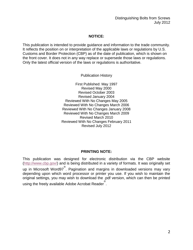#### **NOTICE:**

This publication is intended to provide guidance and information to the trade community. It reflects the position on or interpretation of the applicable laws or regulations by U.S. Customs and Border Protection (CBP) as of the date of publication, which is shown on the front cover. It does not in any way replace or supersede those laws or regulations. Only the latest official version of the laws or regulations is authoritative.

Publication History

First Published: May 1997 Revised May 2000 Revised October 2003 Revised January 2004 Reviewed With No Changes May 2005 Reviewed With No Changes March 2006 Reviewed With No Changes January 2008 Reviewed With No Changes March 2009 Revised March 2010 Reviewed With No Changes February 2011 Revised July 2012

#### **PRINTING NOTE:**

This publication was designed for electronic distribution via the CBP website [\(http://www.cbp.gov/\)](http://www.cbp.gov/) and is being distributed in a variety of formats. It was originally set up in Microsoft Word97 $^{\circ}$ . Pagination and margins in downloaded versions may vary depending upon which word processor or printer you use. If you wish to maintain the original settings, you may wish to download the .pdf version, which can then be printed using the freely available Adobe Acrobat Reader ® .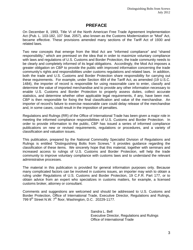## **PREFACE**

On December 8, 1993, Title VI of the North American Free Trade Agreement Implementation Act (Pub. L. 103-182, 107 Stat. 2057), also known as the Customs Modernization or "Mod" Act, became effective. These provisions amended many sections of the Tariff Act of 1930 and related laws.

Two new concepts that emerge from the Mod Act are "informed compliance" and "shared responsibility," which are premised on the idea that in order to maximize voluntary compliance with laws and regulations of U.S. Customs and Border Protection, the trade community needs to be clearly and completely informed of its legal obligations. Accordingly, the Mod Act imposes a greater obligation on CBP to provide the public with improved information concerning the trade community's rights and responsibilities under customs regulations and related laws. In addition, both the trade and U.S. Customs and Border Protection share responsibility for carrying out these requirements. For example, under Section 484 of the Tariff Act, as amended (19 U.S.C. 1484), the importer of record is responsible for using reasonable care to enter, classify and determine the value of imported merchandise and to provide any other information necessary to enable U.S. Customs and Border Protection to properly assess duties, collect accurate statistics, and determine whether other applicable legal requirements, if any, have been met. CBP is then responsible for fixing the final classification and value of the merchandise. An importer of record's failure to exercise reasonable care could delay release of the merchandise and, in some cases, could result in the imposition of penalties.

Regulations and Rulings (RR) of the Office of International Trade has been given a major role in meeting the informed compliance responsibilities of U.S. Customs and Border Protection. In order to provide information to the public, CBP has issued a series of informed compliance publications on new or revised requirements, regulations or procedures, and a variety of classification and valuation issues.

This publication, prepared by the National Commodity Specialist Division of Regulations and Rulings is entitled "Distinguishing Bolts from Screws." It provides guidance regarding the classification of these items. We sincerely hope that this material, together with seminars and increased access to rulings of U.S. Customs and Border Protection, will help the trade community to improve voluntary compliance with customs laws and to understand the relevant administrative processes.

The material in this publication is provided for general information purposes only. Because many complicated factors can be involved in customs issues, an importer may wish to obtain a ruling under Regulations of U.S. Customs and Border Protection, 19 C.F.R. Part 177, or to obtain advice from an expert who specializes in customs matters, for example, a licensed customs broker, attorney or consultant.

Comments and suggestions are welcomed and should be addressed to U.S. Customs and Border Protection, Office of International Trade, Executive Director, Regulations and Rulings, 799  $9<sup>th</sup>$  Street N.W.  $7<sup>th</sup>$  floor, Washington, D.C. 20229-1177.

> Sandra L. Bell Executive Director, Regulations and Rulings Office of International Trade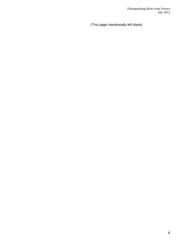(This page intentionally left blank)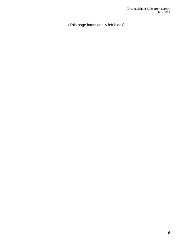(This page intentionally left blank)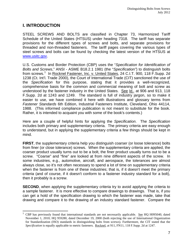# <span id="page-6-0"></span>**I. INTRODUCTION**

STEEL SCREWS AND BOLTS are classified in Chapter 73, Harmonized Tariff Schedule of the United States (HTSUS) under heading 7318. The tariff has separate provisions for the different types of screws and bolts, and separate provisions for threaded and non-threaded fasteners. The tariff pages covering the various types of steel screws and bolts can be found by checking the latest version of the HTSUS at [www.usitc.gov.](http://www.usitc.gov/)

U.S. Customs and Border Protection (CBP) uses the "*Specification for Identification of Bolts and Screws*," ANSI - ASME B18.2.1 1981 (the "*Specification"*) to distinguish bolts from screws.<sup>[1](#page-6-1)</sup> In Rocknel Fastener, Inc. v. United States, 24 C.I.T. 900, 118 F.Supp. 2d 1238 (Ct. Int'l. Trade 2000), the Court of International Trade (CIT) sanctioned the use of the *Specification* for this purpose, stating that it provides a well-recognized, comprehensive basis for the common and commercial meaning of bolt and screw as understood by the fastener industry in the United States. See Id., at 906 and 913, 118 F.Supp. 2d at 1243 and 1249. The standard is full of industry jargon, so to make it easier to use, we have combined it here with illustrations and glossary terms from *Fastener Standards* 6th Edition, Industrial Fasteners Institute, Cleveland, Ohio 44114, 1988. (This informed compliance publication is not meant to substitute for the book. Rather, it is intended to acquaint you with some of the book's contents.)

Here are a couple of helpful hints for applying the *Specification*. The *Specification* includes both primary and supplementary criteria. The primary criteria are easy enough to understand, but in applying the supplementary criteria a few things should be kept in mind.

**FIRST**, the supplementary criteria help you distinguish coarser (or loose tolerance) bolts from finer (or close tolerance) screws. When the supplementary criteria are applied, the coarser product usually turns out to be a bolt, the finer product usually turns out to be a screw. "Coarse" and "fine" are looked at from nine different aspects of the screw. In some industries, e.g., automotive, aircraft, and aerospace, the tolerances are almost always close, so it's not often necessary to spend a lot of time on supplementary criteria when the fastener is from one of these industries; that is, if it doesn't meet the primary criteria (and of course, if it doesn't conform to a fastener industry standard for a bolt), then it probably is a screw.

**SECOND**, when applying the supplementary criteria try to avoid applying the criteria to a sample fastener. It is more effective to compare drawings to drawings. That is, if you can get a hold of the specification drawing to which the fastener was made, take that drawing and compare it to the drawing of an industry standard fastener. Compare the

<span id="page-6-1"></span> $\overline{a}$ 1 CBP has previously found that international standards are not necessarily applicable. See HQ H095040, dated November 1, 2010; HQ 959280, dated December 19, 2000 (both rejecting the use of International Organization for Standardization (ISO) standards in distinguishing bolts from screws). Furthermore, the CIT stated that the *Specification* is equally applicable to metric fasteners. Rocknel, at 911, FN11, 118 F.Supp. 2d at 1247.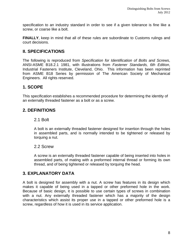specification to an industry standard in order to see if a given tolerance is fine like a screw, or coarse like a bolt.

**FINALLY**, keep in mind that all of these rules are subordinate to Customs rulings and court decisions.

# <span id="page-7-0"></span>**II. SPECIFICATIONS**

The following is reproduced from *Specification for Identification of Bolts and Screws*, ANSI-ASME B18.2.1 1981, with illustrations from *Fastener Standards, 6th Edition*, Industrial Fasteners Institute, Cleveland, Ohio. This information has been reprinted from ASME B18 Series by permission of The American Society of Mechanical Engineers. All rights reserved.

## <span id="page-7-1"></span>**1. SCOPE**

This specification establishes a recommended procedure for determining the identity of an externally threaded fastener as a bolt or as a screw.

## <span id="page-7-2"></span>**2. DEFINITIONS**

#### 2.1 Bolt

A bolt is an externally threaded fastener designed for insertion through the holes in assembled parts, and is normally intended to be tightened or released by torquing a nut.

#### 2.2 Screw

A screw is an externally threaded fastener capable of being inserted into holes in assembled parts, of mating with a preformed internal thread or forming its own thread, and of being tightened or released by torquing the head.

## <span id="page-7-3"></span>**3. EXPLANATORY DATA**

A bolt is designed for assembly with a nut. A screw has features in its design which makes it capable of being used in a tapped or other preformed hole in the work. Because of basic design, it is possible to use certain types of screws in combination with a nut. Any externally threaded fastener which has a majority of the design characteristics which assist its proper use in a tapped or other preformed hole is a screw, regardless of how it is used in its service application.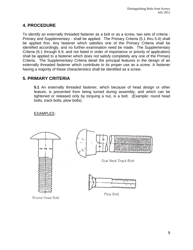# <span id="page-8-0"></span>**4. PROCEDURE**

To identify an externally threaded fastener as a bolt or as a screw, two sets of criteria - Primary and Supplementary - shall be applied. The Primary Criteria (5.1 thru 5.4) shall be applied first. Any fastener which satisfies one of the Primary Criteria shall be identified accordingly, and no further examination need be made. The Supplementary Criteria (6.1 through 6.9, and not listed in order of importance or priority of application) shall be applied to a fastener which does not satisfy completely any one of the Primary Criteria. The Supplementary Criteria detail the principal features in the design of an externally threaded fastener which contribute to its proper use as a screw. A fastener having a majority of these characteristics shall be identified as a screw.

# <span id="page-8-1"></span>**5. PRIMARY CRITERIA**

**5.1** An externally threaded fastener, which because of head design or other feature, is prevented from being turned during assembly, and which can be tightened or released only by torquing a nut, is a bolt. (Example: round head bolts, track bolts, plow bolts).

## EXAMPLES:



Round Head Bolt

Plow Bolt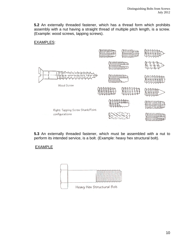**5.2** An externally threaded fastener, which has a thread form which prohibits assembly with a nut having a straight thread of multiple pitch length, is a screw. (Example: wood screws, tapping screws).

#### EXAMPLES:

|  |                                  | <b>HULLY!</b>                                                                                                                      | 麟                               |                      |
|--|----------------------------------|------------------------------------------------------------------------------------------------------------------------------------|---------------------------------|----------------------|
|  | אינגרים בחינות<br>אינגרים ביותר  |                                                                                                                                    | <b>MANAMARIA</b><br>DIMINIMENTO |                      |
|  |                                  |                                                                                                                                    |                                 |                      |
|  | Wood Screw                       | $\begin{array}{c}\n\frac{\partial \mathbf{u}}{\partial \mathbf{u}}\\ \frac{\partial \mathbf{u}}{\partial \mathbf{v}}\n\end{array}$ | Mitte 1                         |                      |
|  | Right: Tapping Screw Shank/Point |                                                                                                                                    |                                 | <b>SUBDIVISIONAL</b> |
|  | configurations                   |                                                                                                                                    |                                 |                      |

**5.3** An externally threaded fastener, which must be assembled with a nut to perform its intended service, is a bolt. (Example: heavy hex structural bolt).

#### **EXAMPLE**

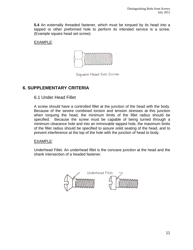**5.4** An externally threaded fastener, which must be torqued by its head into a tapped or other preformed hole to perform its intended service is a screw. (Example square head set screw).

EXAMPLE:



Square Head Set Screw

# <span id="page-10-0"></span>**6. SUPPLEMENTARY CRITERIA**

6.1 Under Head Fillet

A screw should have a controlled fillet at the junction of the head with the body. Because of the severe combined torsion and tension stresses at this junction when torquing the head, the minimum limits of the fillet radius should be specified. Because the screw must be capable of being turned through a minimum clearance hole and into an immovable tapped hole, the maximum limits of the fillet radius should be specified to assure solid seating of the head, and to prevent interference at the top of the hole with the junction of head to body.

#### EXAMPLE:

Underhead Fillet. An underhead fillet is the concave junction at the head and the shank intersection of a headed fastener.

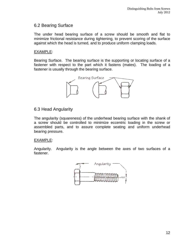## 6.2 Bearing Surface

The under head bearing surface of a screw should be smooth and flat to minimize frictional resistance during tightening, to prevent scoring of the surface against which the head is turned, and to produce uniform clamping loads.

#### EXAMPLE:

Bearing Surface. The bearing surface is the supporting or locating surface of a fastener with respect to the part which it fastens (mates). The loading of a fastener is usually through the bearing surface.



## 6.3 Head Angularity

The angularity (squareness) of the underhead bearing surface with the shank of a screw should be controlled to minimize eccentric loading in the screw or assembled parts, and to assure complete seating and uniform underhead bearing pressure.

#### EXAMPLE:

Angularity. Angularity is the angle between the axes of two surfaces of a fastener.

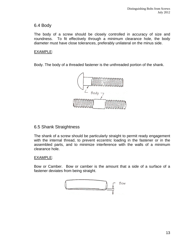## 6.4 Body

The body of a screw should be closely controlled in accuracy of size and roundness. To fit effectively through a minimum clearance hole, the body diameter must have close tolerances, preferably unilateral on the minus side.

#### EXAMPLE:

Body. The body of a threaded fastener is the unthreaded portion of the shank.



## 6.5 Shank Straightness

The shank of a screw should be particularly straight to permit ready engagement with the internal thread, to prevent eccentric loading in the fastener or in the assembled parts, and to minimize interference with the walls of a minimum clearance hole.

#### EXAMPLE:

Bow or Camber. Bow or camber is the amount that a side of a surface of a fastener deviates from being straight.

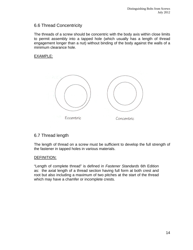## 6.6 Thread Concentricity

The threads of a screw should be concentric with the body axis within close limits to permit assembly into a tapped hole (which usually has a length of thread engagement longer than a nut) without binding of the body against the walls of a minimum clearance hole.

#### EXAMPLE:



## 6.7 Thread length

The length of thread on a screw must be sufficient to develop the full strength of the fastener in tapped holes in various materials.

#### DEFINITION:

"Length of complete thread" is defined in *Fastener Standards* 6th Edition as: the axial length of a thread section having full form at both crest and root but also including a maximum of two pitches at the start of the thread which may have a chamfer or incomplete crests.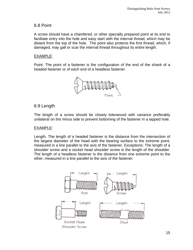#### 6.8 Point

A screw should have a chamfered, or other specially prepared point at its end to facilitate entry into the hole and easy start with the internal thread, which may be distant from the top of the hole. The point also protects the first thread, which, if damaged, may gall or scar the internal thread throughout its entire length.

#### EXAMPLE:

Point. The point of a fastener is the configuration of the end of the shank of a headed fastener or of each end of a headless fastener.

#### 6.9 Length

The length of a screw should be closely toleranced with variance preferably unilateral on the minus side to prevent bottoming of the fastener in a tapped hole.

#### EXAMPLE:

Length. The length of a headed fastener is the distance from the intersection of the largest diameter of the head with the bearing surface to the extreme point, measured in a line parallel to the axis of the fastener. Exceptions: The length of a shoulder screw and a socket head shoulder screw is the length of the shoulder. The length of a headless fastener is the distance from one extreme point to the other, measured in a line parallel to the axis of the fastener.

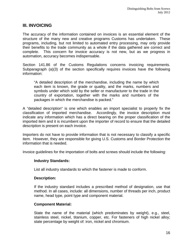## <span id="page-15-0"></span>**III. INVOICING**

The accuracy of the information contained on invoices is an essential element of the structure of the many new and creative programs Customs has undertaken. These programs, including, but not limited to automated entry processing, may only provide their benefits to the trade community as a whole if the data gathered are correct and complete. This concern for invoice accuracy is not new, but as we progress in automation, accuracy becomes indispensable.

Section 141.86 of the Customs Regulations concerns invoicing requirements. Subparagraph (a)(3) of the section specifically requires invoices have the following information:

"A detailed description of the merchandise, including the name by which each item is known, the grade or quality, and the marks, numbers and symbols under which sold by the seller or manufacturer to the trade in the country of exportation, together with the marks and numbers of the packages in which the merchandise is packed."

A "detailed description" is one which enables an import specialist to properly fix the classification of imported merchandise. Accordingly, the invoice description must indicate any information which has a direct bearing on the proper classification of the imported item and it is incumbent upon the importer of record to ensure that the detailed description is present on each invoice.

Importers do not have to provide information that is not necessary to classify a specific item. However, they are responsible for giving U.S. Customs and Border Protection the information that is needed.

Invoice guidelines for the importation of bolts and screws should include the following:

#### **Industry Standards:**

List all industry standards to which the fastener is made to conform.

#### **Description:**

If the industry standard includes a prescribed method of designation, use that method. In all cases, include: all dimensions, number of threads per inch, product name, head type, point type and component material.

#### **Component Material:**

State the name of the material (which predominates by weight), e.g., steel, stainless steel, nickel, titanium, copper, etc. For fasteners of high nickel alloy; state percentage by weight of: iron, nickel and chromium.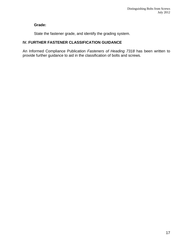#### **Grade:**

State the fastener grade, and identify the grading system.

## **IV. FURTHER FASTENER CLASSIFICATION GUIDANCE**

An Informed Compliance Publication *Fasteners of Heading 7318* has been written to provide further guidance to aid in the classification of bolts and screws.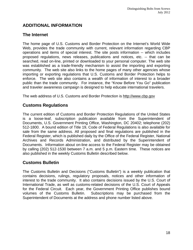# <span id="page-17-0"></span>**ADDITIONAL INFORMATION**

## <span id="page-17-1"></span>**The Internet**

The home page of U.S. Customs and Border Protection on the Internet's World Wide Web, provides the trade community with current, relevant information regarding CBP operations and items of special interest. The site posts information -- which includes proposed regulations, news releases, publications and notices, etc. -- that can be searched, read on-line, printed or downloaded to your personal computer. The web site was established as a trade-friendly mechanism to assist the importing and exporting community. The web site also links to the home pages of many other agencies whose importing or exporting regulations that U.S. Customs and Border Protection helps to enforce. The web site also contains a wealth of information of interest to a broader public than the trade community. For instance, the "Know Before You Go" publication and traveler awareness campaign is designed to help educate international travelers.

The web address of U.S. Customs and Border Protection is [http://www.cbp.gov](http://www.customs.ustreas.gov./)

## <span id="page-17-2"></span>**Customs Regulations**

The current edition of Customs and Border Protection Regulations of the United States is a loose-leaf, subscription publication available from the Superintendent of Documents, U.S. Government Printing Office, Washington, DC 20402; telephone (202) 512-1800. A bound edition of Title 19, Code of Federal Regulations is also available for sale from the same address. All proposed and final regulations are published in the Federal Register, which is published daily by the Office of the Federal Register, National Archives and Records Administration, and distributed by the Superintendent of Documents. Information about on-line access to the Federal Register may be obtained by calling (202) 512-1530 between 7 a.m. and 5 p.m. Eastern time. These notices are also published in the weekly Customs Bulletin described below.

## <span id="page-17-3"></span>**Customs Bulletin**

The Customs Bulletin and Decisions ("Customs Bulletin") is a weekly publication that contains decisions, rulings, regulatory proposals, notices and other information of interest to the trade community. It also contains decisions issued by the U.S. Court of International Trade, as well as customs-related decisions of the U.S. Court of Appeals for the Federal Circuit. Each year, the Government Printing Office publishes bound volumes of the Customs Bulletin. Subscriptions may be purchased from the Superintendent of Documents at the address and phone number listed above.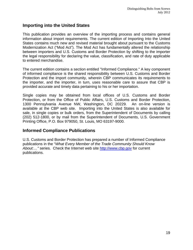## <span id="page-18-0"></span>**Importing into the United States**

This publication provides an overview of the importing process and contains general information about import requirements. The current edition of Importing Into the United States contains much new and revised material brought about pursuant to the Customs Modernization Act ("Mod Act"). The Mod Act has fundamentally altered the relationship between importers and U.S. Customs and Border Protection by shifting to the importer the legal responsibility for declaring the value, classification, and rate of duty applicable to entered merchandise.

The current edition contains a section entitled "Informed Compliance." A key component of informed compliance is the shared responsibility between U.S. Customs and Border Protection and the import community, wherein CBP communicates its requirements to the importer, and the importer, in turn, uses reasonable care to assure that CBP is provided accurate and timely data pertaining to his or her importation.

Single copies may be obtained from local offices of U.S. Customs and Border Protection, or from the Office of Public Affairs, U.S. Customs and Border Protection, 1300 Pennsylvania Avenue NW, Washington, DC 20229. An on-line version is available at the CBP web site. Importing into the United States is also available for sale, in single copies or bulk orders, from the Superintendent of Documents by calling (202) 512-1800, or by mail from the Superintendent of Documents, U.S. Government Printing Office, P.O. Box 979050, St. Louis, MO 63197-9000.

## <span id="page-18-1"></span>**Informed Compliance Publications**

U.S. Customs and Border Protection has prepared a number of Informed Compliance publications in the "*What Every Member of the Trade Community Should Know About:…"* series. Check the Internet web site http://www.cbp.gov for current publications.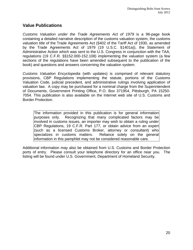## <span id="page-19-0"></span>**Value Publications**

*Customs Valuation under the Trade Agreements Act of 1979* is a 96-page book containing a detailed narrative description of the customs valuation system, the customs valuation title of the Trade Agreements Act (§402 of the Tariff Act of 1930, as amended by the Trade Agreements Act of 1979 (19 U.S.C. §1401a)), the Statement of Administrative Action which was sent to the U.S. Congress in conjunction with the TAA, regulations (19 C.F.R. §§152.000-152.108) implementing the valuation system (a few sections of the regulations have been amended subsequent to the publication of the book) and questions and answers concerning the valuation system.

*Customs Valuation Encyclopedia* (with updates) is comprised of relevant statutory provisions, CBP Regulations implementing the statute, portions of the Customs Valuation Code, judicial precedent, and administrative rulings involving application of valuation law. A copy may be purchased for a nominal charge from the Superintendent of Documents, Government Printing Office, P.O. Box 371954, Pittsburgh, PA 15250- 7054. This publication is also available on the Internet web site of U.S. Customs and Border Protection.

The information provided in this publication is for general information purposes only. Recognizing that many complicated factors may be involved in customs issues, an importer may wish to obtain a ruling under CBP Regulations, 19 C.F.R. Part 177, or obtain advice from an expert (such as a licensed Customs Broker, attorney or consultant) who specializes in customs matters. Reliance solely on the general information in this pamphlet may not be considered reasonable care.

Additional information may also be obtained from U.S. Customs and Border Protection ports of entry. Please consult your telephone directory for an office near you. The listing will be found under U.S. Government, Department of Homeland Security.